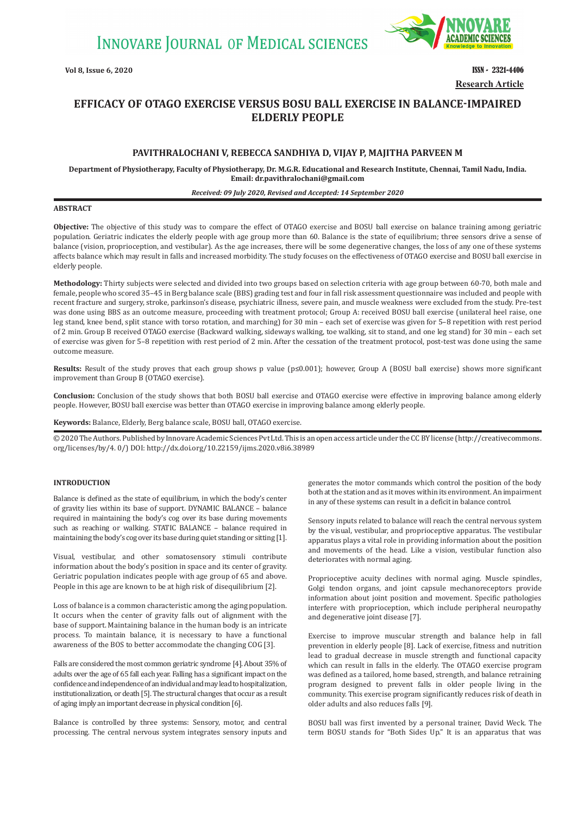**INNOVARE JOURNAL OF MEDICAL SCIENCES** 



**Vol 8, Issue 6, 2020 ISSN - 2321-4406 Research Article**

# **EFFICACY OF OTAGO EXERCISE VERSUS BOSU BALL EXERCISE IN BALANCE-IMPAIRED ELDERLY PEOPLE**

## **PAVITHRALOCHANI V, REBECCA SANDHIYA D, VIJAY P, MAJITHA PARVEEN M**

**Department of Physiotherapy, Faculty of Physiotherapy, Dr. M.G.R. Educational and Research Institute, Chennai, Tamil Nadu, India. Email: dr.pavithralochani@gmail.com**

#### *Received: 09 July 2020, Revised and Accepted: 14 September 2020*

### **ABSTRACT**

**Objective:** The objective of this study was to compare the effect of OTAGO exercise and BOSU ball exercise on balance training among geriatric population. Geriatric indicates the elderly people with age group more than 60. Balance is the state of equilibrium; three sensors drive a sense of balance (vision, proprioception, and vestibular). As the age increases, there will be some degenerative changes, the loss of any one of these systems affects balance which may result in falls and increased morbidity. The study focuses on the effectiveness of OTAGO exercise and BOSU ball exercise in elderly people.

**Methodology:** Thirty subjects were selected and divided into two groups based on selection criteria with age group between 60-70, both male and female, people who scored 35–45 in Berg balance scale (BBS) grading test and four in fall risk assessment questionnaire was included and people with recent fracture and surgery, stroke, parkinson's disease, psychiatric illness, severe pain, and muscle weakness were excluded from the study. Pre-test was done using BBS as an outcome measure, proceeding with treatment protocol; Group A: received BOSU ball exercise (unilateral heel raise, one leg stand, knee bend, split stance with torso rotation, and marching) for 30 min – each set of exercise was given for 5–8 repetition with rest period of 2 min. Group B received OTAGO exercise (Backward walking, sideways walking, toe walking, sit to stand, and one leg stand) for 30 min – each set of exercise was given for 5–8 repetition with rest period of 2 min. After the cessation of the treatment protocol, post-test was done using the same outcome measure.

**Results:** Result of the study proves that each group shows p value (p≤0.001); however, Group A (BOSU ball exercise) shows more significant improvement than Group B (OTAGO exercise).

**Conclusion:** Conclusion of the study shows that both BOSU ball exercise and OTAGO exercise were effective in improving balance among elderly people. However, BOSU ball exercise was better than OTAGO exercise in improving balance among elderly people.

**Keywords:** Balance, Elderly, Berg balance scale, BOSU ball, OTAGO exercise.

© 2020 The Authors. Published by Innovare Academic Sciences Pvt Ltd. This is an open access article under the CC BY license (http://creativecommons. org/licenses/by/4. 0/) DOI: http://dx.doi.org/10.22159/ijms.2020.v8i6.38989

### **INTRODUCTION**

Balance is defined as the state of equilibrium, in which the body's center of gravity lies within its base of support. DYNAMIC BALANCE – balance required in maintaining the body's cog over its base during movements such as reaching or walking. STATIC BALANCE – balance required in maintaining the body's cog over its base during quiet standing or sitting [1].

Visual, vestibular, and other somatosensory stimuli contribute information about the body's position in space and its center of gravity. Geriatric population indicates people with age group of 65 and above. People in this age are known to be at high risk of disequilibrium [2].

Loss of balance is a common characteristic among the aging population. It occurs when the center of gravity falls out of alignment with the base of support. Maintaining balance in the human body is an intricate process. To maintain balance, it is necessary to have a functional awareness of the BOS to better accommodate the changing COG [3].

Falls are considered the most common geriatric syndrome [4]. About 35% of adults over the age of 65 fall each year. Falling has a significant impact on the confidence and independence of an individual and may lead to hospitalization, institutionalization, or death [5]. The structural changes that occur as a result of aging imply an important decrease in physical condition [6].

Balance is controlled by three systems: Sensory, motor, and central processing. The central nervous system integrates sensory inputs and

generates the motor commands which control the position of the body both at the station and as it moves within its environment. An impairment in any of these systems can result in a deficit in balance control.

Sensory inputs related to balance will reach the central nervous system by the visual, vestibular, and proprioceptive apparatus. The vestibular apparatus plays a vital role in providing information about the position and movements of the head. Like a vision, vestibular function also deteriorates with normal aging.

Proprioceptive acuity declines with normal aging. Muscle spindles, Golgi tendon organs, and joint capsule mechanoreceptors provide information about joint position and movement. Specific pathologies interfere with proprioception, which include peripheral neuropathy and degenerative joint disease [7].

Exercise to improve muscular strength and balance help in fall prevention in elderly people [8]. Lack of exercise, fitness and nutrition lead to gradual decrease in muscle strength and functional capacity which can result in falls in the elderly. The OTAGO exercise program was defined as a tailored, home based, strength, and balance retraining program designed to prevent falls in older people living in the community. This exercise program significantly reduces risk of death in older adults and also reduces falls [9].

BOSU ball was first invented by a personal trainer, David Weck. The term BOSU stands for "Both Sides Up." It is an apparatus that was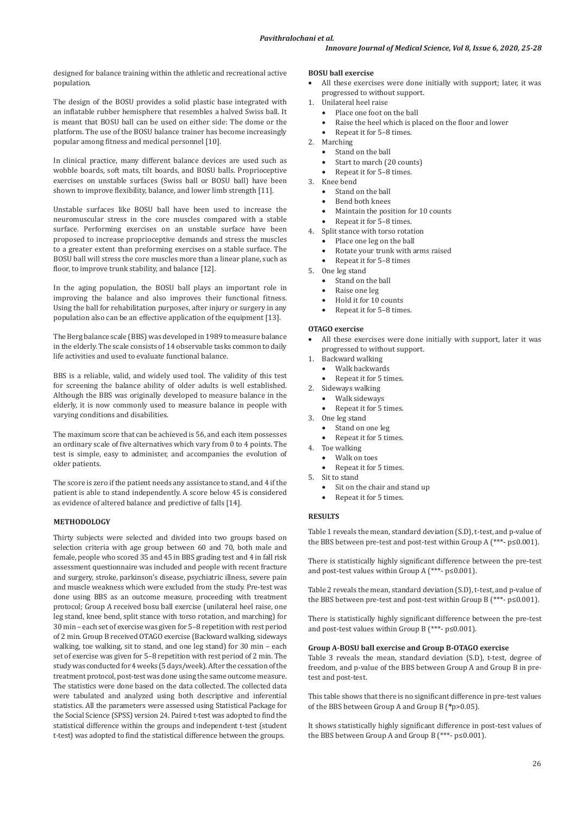designed for balance training within the athletic and recreational active population.

The design of the BOSU provides a solid plastic base integrated with an inflatable rubber hemisphere that resembles a halved Swiss ball. It is meant that BOSU ball can be used on either side: The dome or the platform. The use of the BOSU balance trainer has become increasingly popular among fitness and medical personnel [10].

In clinical practice, many different balance devices are used such as wobble boards, soft mats, tilt boards, and BOSU balls. Proprioceptive exercises on unstable surfaces (Swiss ball or BOSU ball) have been shown to improve flexibility, balance, and lower limb strength [11].

Unstable surfaces like BOSU ball have been used to increase the neuromuscular stress in the core muscles compared with a stable surface. Performing exercises on an unstable surface have been proposed to increase proprioceptive demands and stress the muscles to a greater extent than preforming exercises on a stable surface. The BOSU ball will stress the core muscles more than a linear plane, such as floor, to improve trunk stability, and balance [12].

In the aging population, the BOSU ball plays an important role in improving the balance and also improves their functional fitness. Using the ball for rehabilitation purposes, after injury or surgery in any population also can be an effective application of the equipment [13].

The Berg balance scale (BBS) was developed in 1989 to measure balance in the elderly. The scale consists of 14 observable tasks common to daily life activities and used to evaluate functional balance.

BBS is a reliable, valid, and widely used tool. The validity of this test for screening the balance ability of older adults is well established. Although the BBS was originally developed to measure balance in the elderly, it is now commonly used to measure balance in people with varying conditions and disabilities.

The maximum score that can be achieved is 56, and each item possesses an ordinary scale of five alternatives which vary from 0 to 4 points. The test is simple, easy to administer, and accompanies the evolution of older patients.

The score is zero if the patient needs any assistance to stand, and 4 if the patient is able to stand independently. A score below 45 is considered as evidence of altered balance and predictive of falls [14].

#### **METHODOLOGY**

Thirty subjects were selected and divided into two groups based on selection criteria with age group between 60 and 70, both male and female, people who scored 35 and 45 in BBS grading test and 4 in fall risk assessment questionnaire was included and people with recent fracture and surgery, stroke, parkinson's disease, psychiatric illness, severe pain and muscle weakness which were excluded from the study. Pre-test was done using BBS as an outcome measure, proceeding with treatment protocol; Group A received bosu ball exercise (unilateral heel raise, one leg stand, knee bend, split stance with torso rotation, and marching) for 30 min – each set of exercise was given for 5–8 repetition with rest period of 2 min. Group B received OTAGO exercise (Backward walking, sideways walking, toe walking, sit to stand, and one leg stand) for 30 min – each set of exercise was given for 5–8 repetition with rest period of 2 min. The study was conducted for 4 weeks (5 days/week). After the cessation of the treatment protocol, post-test was done using the same outcome measure. The statistics were done based on the data collected. The collected data were tabulated and analyzed using both descriptive and inferential statistics. All the parameters were assessed using Statistical Package for the Social Science (SPSS) version 24. Paired t-test was adopted to find the statistical difference within the groups and independent t-test (student t-test) was adopted to find the statistical difference between the groups.

#### **BOSU ball exercise**

- All these exercises were done initially with support; later, it was progressed to without support.
- 1. Unilateral heel raise
	- Place one foot on the ball
	- Raise the heel which is placed on the floor and lower<br>• Repeat it for  $5-8$  times
	- Repeat it for 5-8 times.
- 2. Marching
	- Stand on the ball
	- Start to march (20 counts)
	- Repeat it for 5-8 times.
- 3. Knee bend
	- • Stand on the ball
	- Bend both knees
	- Maintain the position for 10 counts
	- Repeat it for 5-8 times.
- 4. Split stance with torso rotation
	- • Place one leg on the ball
	- Rotate your trunk with arms raised
	- Repeat it for 5-8 times
- 5. One leg stand
	- Stand on the ball
	- Raise one leg
	- Hold it for 10 counts
	- Repeat it for 5-8 times.

#### **OTAGO exercise**

- All these exercises were done initially with support, later it was progressed to without support.
- 1. Backward walking
	- Walk backwards
		- Repeat it for 5 times.
- 2. Sideways walking
	- • Walk sideways
	- Repeat it for 5 times.
- 3. One leg stand
	- Stand on one leg Repeat it for 5 times.
	-
- 4. Toe walking • Walk on toes
	- Repeat it for 5 times.
- 5. Sit to stand
- - Sit on the chair and stand up Repeat it for 5 times.
	-

## **RESULTS**

Table 1 reveals the mean, standard deviation (S.D), t-test, and p-value of the BBS between pre-test and post-test within Group A (\*\*\*- p≤0.001).

There is statistically highly significant difference between the pre-test and post-test values within Group A (\*\*\*- p≤0.001).

Table 2 reveals the mean, standard deviation (S.D), t-test, and p-value of the BBS between pre-test and post-test within Group B (\*\*\*- p≤0.001).

There is statistically highly significant difference between the pre-test and post-test values within Group B (\*\*\*- p≤0.001).

### **Group A-BOSU ball exercise and Group B-OTAGO exercise**

Table 3 reveals the mean, standard deviation (S.D), t-test, degree of freedom, and p-value of the BBS between Group A and Group B in pretest and post-test.

This table shows that there is no significant difference in pre-test values of the BBS between Group A and Group B (**\***p>0.05).

It shows statistically highly significant difference in post-test values of the BBS between Group A and Group B (\*\*\*- p≤0.001).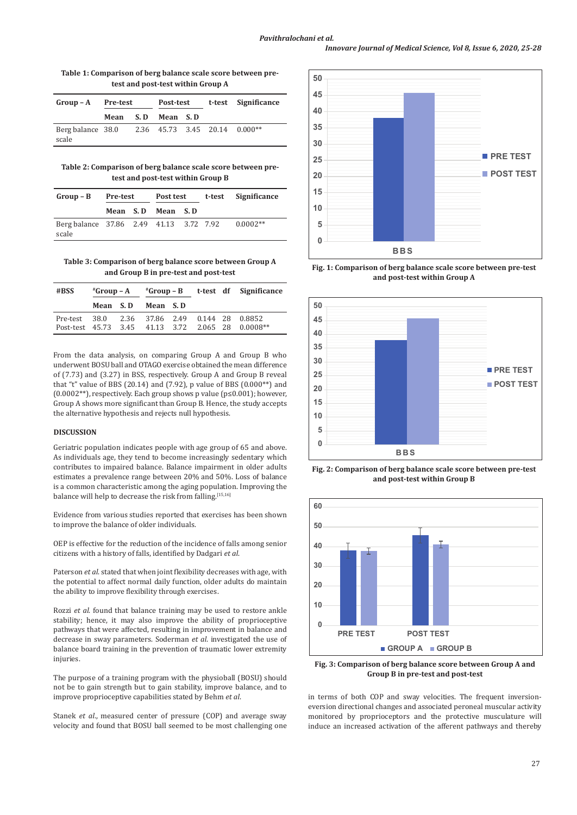### **Table 1: Comparison of berg balance scale score between pretest and post-test within Group A**

| $Group-A$ Pre-test                                       |                   |  | Post-test t-test Significance |  |  |
|----------------------------------------------------------|-------------------|--|-------------------------------|--|--|
|                                                          | Mean S.D Mean S.D |  |                               |  |  |
| Berg balance 38.0 2.36 45.73 3.45 20.14 0.000**<br>scale |                   |  |                               |  |  |

## **Table 2: Comparison of berg balance scale score between pretest and post-test within Group B**

| $Group-B$                                        | Pre-test |  | Post test         |  | t-test Significance |
|--------------------------------------------------|----------|--|-------------------|--|---------------------|
|                                                  |          |  | Mean S.D Mean S.D |  |                     |
| Berg balance 37.86 2.49 41.13 3.72 7.92<br>scale |          |  |                   |  | $0.0002**$          |

### **Table 3: Comparison of berg balance score between Group A and Group B in pre-test and post-test**

| #BSS          | $*Group - A$ |  |          |  |  | "Group-B t-test df Significance                                                      |
|---------------|--------------|--|----------|--|--|--------------------------------------------------------------------------------------|
|               | Mean S.D     |  | Mean S.D |  |  |                                                                                      |
| Pre-test 38.0 |              |  |          |  |  | 2.36 37.86 2.49 0.144 28 0.8852<br>Post-test 45.73 3.45 41.13 3.72 2.065 28 0.0008** |

From the data analysis, on comparing Group A and Group B who underwent BOSU ball and OTAGO exercise obtained the mean difference of (7.73) and (3.27) in BSS, respectively. Group A and Group B reveal that "t" value of BBS (20.14) and (7.92), p value of BBS (0.000\*\*) and (0.0002\*\*), respectively. Each group shows p value (p≤0.001); however, Group A shows more significant than Group B. Hence, the study accepts the alternative hypothesis and rejects null hypothesis.

## **DISCUSSION**

Geriatric population indicates people with age group of 65 and above. As individuals age, they tend to become increasingly sedentary which contributes to impaired balance. Balance impairment in older adults estimates a prevalence range between 20% and 50%. Loss of balance is a common characteristic among the aging population. Improving the balance will help to decrease the risk from falling.[15,16]

Evidence from various studies reported that exercises has been shown to improve the balance of older individuals.

OEP is effective for the reduction of the incidence of falls among senior citizens with a history of falls, identified by Dadgari *et al*.

Paterson *et al*. stated that when joint flexibility decreases with age, with the potential to affect normal daily function, older adults do maintain the ability to improve flexibility through exercises.

Rozzi *et al*. found that balance training may be used to restore ankle stability; hence, it may also improve the ability of proprioceptive pathways that were affected, resulting in improvement in balance and decrease in sway parameters. Soderman *et al*. investigated the use of balance board training in the prevention of traumatic lower extremity injuries.

The purpose of a training program with the physioball (BOSU) should not be to gain strength but to gain stability, improve balance, and to improve proprioceptive capabilities stated by Behm *et al*.

Stanek *et al*., measured center of pressure (COP) and average sway velocity and found that BOSU ball seemed to be most challenging one



**Fig. 1: Comparison of berg balance scale score between pre-test and post-test within Group A**



**Fig. 2: Comparison of berg balance scale score between pre-test and post-test within Group B**



**Fig. 3: Comparison of berg balance score between Group A and Group B in pre-test and post-test**

in terms of both COP and sway velocities. The frequent inversioneversion directional changes and associated peroneal muscular activity monitored by proprioceptors and the protective musculature will induce an increased activation of the afferent pathways and thereby